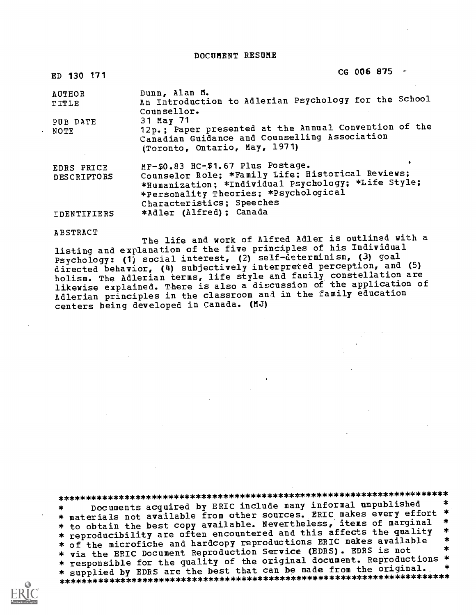DOCUMENT RESUME

| ED 130 171                              | CG 006 875 $\degree$                                                                                                                                                                                                |
|-----------------------------------------|---------------------------------------------------------------------------------------------------------------------------------------------------------------------------------------------------------------------|
| <b>AUTHOR</b><br>TITLE                  | Dunn, Alan M.<br>An Introduction to Adlerian Psychology for the School<br>Counsellor.                                                                                                                               |
| PUB DATE<br>NOTE                        | 31 May 71<br>12p.; Paper presented at the Annual Convention of the<br>Canadian Guidance and Counselling Association<br>(Toronto, Ontario, May, 1971)                                                                |
| <b>EDRS PRICE</b><br><b>DESCRIPTORS</b> | MF-\$0.83 HC-\$1.67 Plus Postage.<br>Counselor Role; *Family Life; Historical Reviews;<br>*Humanization; *Individual Psychology; *Life Style;<br>*Personality Theories; *Psychological<br>Characteristics; Speeches |
| IDENTIFIERS                             | *Adler (Alfred); Canada                                                                                                                                                                                             |

ABSTRACT

The life and work of Alfred Adler is outlined with a listing and explanation of the five principles of his Individual Psychology: (1) social interest, (2) self-determinism, (3) goal directed behavior, (4) subjectively interpreted perception, and (5) holism. The Adlerian terms, life style and family constellation are likewise explained. There is also a disxussion of the application of Adlerian principles in the classroom and in the family education centers being developed in Canada. (MJ)

\*\*\*\*\*\*\*\*\*\*\*\*\*\*\*\*\*\*\*\*\*\*\*\*\*\*\*\*\*\*\*\*\*\*\*\*\*\*\*\*\*\*\*\*\*\*\*\*\*\*\*\*\*\*\*\*\*\*\*\*\*\*\*\*\*\*\*\*\*\*\*

Documents acquired by ERIC include many informal unpublished \*  $\star$ \* materials not available from other sources. ERIC makes every effort \*<br>\* to obtain the best copy available. Nevertheless, items of marginal \* \* to obtain the best copy available. Nevertheless, it affects the quality \*<br>\* reproducibility are often encountered and this affects the quality \* \* of the microfiche and hardcopy reproductions ERIC makes available \* \* via the ERIC Document Reproduction Service (EDRS). EDRS is not \* responsible for the quality of the original document. Reproductions \*<br>\* supplied by EDRS are the best that can be made from the original. \* \* supplied by EDRS are the best that can be made from the original. \* \*\*\*\*\*\*\*\*\*\*\*\*\*\*\*\*\*\*\*\*\*\*\*\*\*\*\*\*\*\*\*\*\*\*\*\*\*\*\*\*\*\*\*\*\*\*\*\*\*\*\*\*\*\*\*\*\*\*\*\*\*\*\*\*\*\*\*\*\*\*\*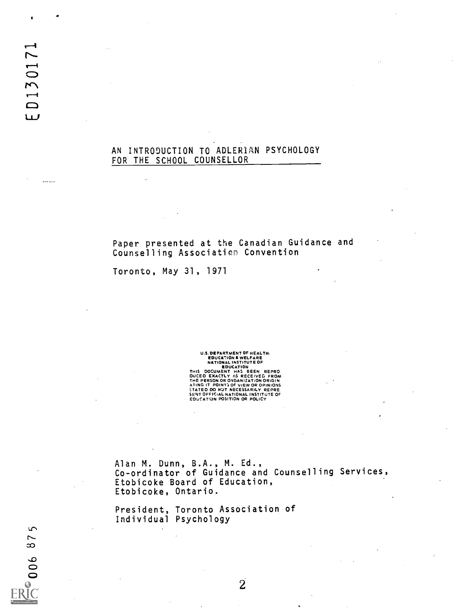## AN INTRODUCTION TO ADLERIAN PSYCHOLOGY FOR THE SCHOOL COUNSELLOR

Paper presented at the Canadian Guidance and Counselling Associatien Convention

Toronto, May 31, 1971

Ţ,

U.S. DEPARTMENT OF HEALTH.<br>
EDUCATION & WELFARE<br>
NATIONAL INSTITUTE OF<br>
EDUCATION<br>THIS DOCUMENT HAS BEEN REPRO<br>
DUCED EXACTLY AS RECEIVED FROM<br>NITH PERSON OR OXGANIZATION ORIGIN<br>ATING IT POINTS OF VIEW OR OPINIONS<br>STATED D

Alan M. Dunn, B.A., M. Ed., Co-ordinator of Guidance and Counselling Services, Etobicoke Board of Education, Etobicoke, Ontario.

President, Toronto Association of Individual Psychology

المستحدة

 $\sqrt{2}$ 7  $\infty$ 

 $\frac{90}{1}$ 

 $\overline{2}$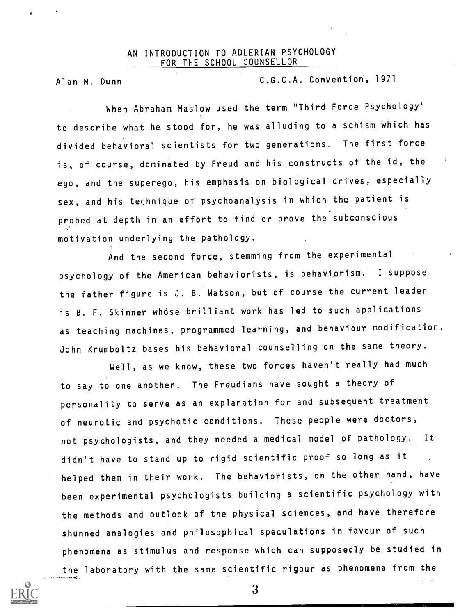## AN INTRODUCTION TO ADLERIAN PSYCHOLOGY FOR THE SCHOOL COUNSELLOR

Alan M. Dunn C.G.C.A. Convention, 1971

When Abraham Maslow used the term "Third Force Psychology" to describe what he stood for, he was alluding to a schism which has divided behavioral scientists for two generations. The first force is, of course, dominated by Freud and his constructs of the id, the ego, and the superego, his emphasis on biological drives, especially sex, and his technique of psychoanalysis in which the patient is probed at depth in an effort to find or prove the subconscious motivation underlying the pathology.

And the second force, stemming from the experimental psychology of the American behaviorists, is behavtorism. I suppose the father figure is J. B. Watson, but of course the current leader is B. F. Skinner whose brilliant work has led to such applications as teaching machines, programmed learning, and behaviour modification. John Krumboltz bases his behavioral counselling on the same theory.

Well, as we know, these two forces haven't really had much to say to one another. The Freudians have sought a theory of personality to serve as an explanation for and subsequent treatment of neurotic and psychotic conditions. These people were doctors, not psychologists, and they needed a medical model of pathology. It didn't have to stand up to rigid scientific proof so long as it helped them in their work. The behaviorists, on the other hand, have been experimental psychologists building a scientific psychology with the methods and outlook of the physical sciences, and have therefore shunned analogies and philosophical speculations in favour of such phenomena as stimulus and response which can supposedly be studied in the laboratory with the same scientific rigour as phenomena from the

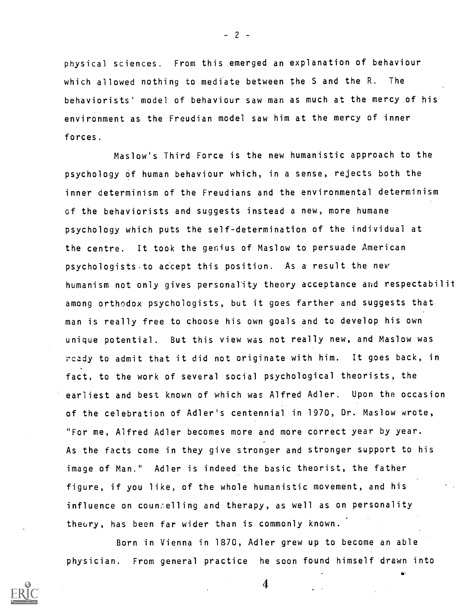physical sciences. From this emerged an explanation of behaviour which allowed nothing to mediate between the S and the R. The behaviorists' model of behaviour saw man as much at the mercy of his environment as the Freudian model saw him at the mercy of inner forces.

Maslow's Third Force is the new humanistic approach to the psychology of human behaviour which, in a sense, rejects both the inner determinism of the Freudians and the environmental determinism of the behaviorists and suggests instead a new, more humane psychology which puts the self-determination of the individual at the centre. It took the genius of Maslow to persuade American psychologists to accept this position. As a result the new humanism not only gives personality theory acceptance and respectabilit among orthodox psychologists, but it goes farther and suggests that man is really free to choose his own goals and to develop his own unique potential. But this view was not really new, and Maslow was rcady to admit that it did not originate with him. It goes back, in fact, to the work of several social psychological theorists, the earliest and best known of which was Alfred Adler. Upon the occasion of the celebration of Adler's centennial in 1970, Dr. Maslow wrote, "For me, Alfred Adler becomes more and more correct year by year. As the facts come in they give stronger and stronger support to his image of Man." Adler is indeed the basic theorist, the father figure, if you like, of the whole humanistic movement, and his influence on counselling and therapy, as well as on personality theory, has been far wider than is commonly known.

Born in Vienna in 1870, Adler grew up to become an able physician. From general practice he soon found himself drawn into

 $-2 -$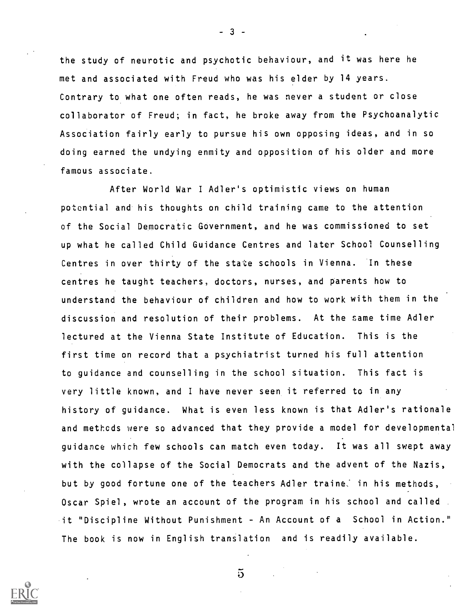the study of neurotic and psychotic behaviour, and it was here he met and associated with Freud who was his elder by 14 years. Contrary to what one often reads, he was never a student or close collaborator of Freud; in fact, he broke away from the Psychoanalytic Association fairly early to pursue his own opposing ideas, and in so doing earned the undying enmity and opposition of his older and more famous associate.

 $-3 -$ 

After World War I Adler's optimistic views on human potential and his thoughts on child training came to the attention of the Social Democratic Government, and he was commissioned to set up what he called Child Guidance Centres and later School Counselling Centres in over thirty of the state schools in Vienna. In these centres he taught teachers, doctors, nurses, and parents how to understand the behaviour of children and how to work with them in the discussion and resolution of their problems. At the same time Adler lectured at the Vienna State Institute of Education. This is the first time on record that a psychiatrist turned his full attention to guidance and counselling in the school situation. This fact is very little known, and <sup>I</sup> have never seen it referred to in any history of guidance. What is even less known is that Adler's rationale and methcds were so advanced that they provide a model for developmental guidance which few schools can match even today. It was all swept away with the collapse of the Social Democrats and the advent of the Nazis, but by good fortune one of the teachers Adler traine. in his methods, Oscar Spiel, wrote an account of the program in his school and called. it "Discipline Without Punishment - An Account of a School in Action." The book is now in English translation and is readily available.



 $5^{\circ}$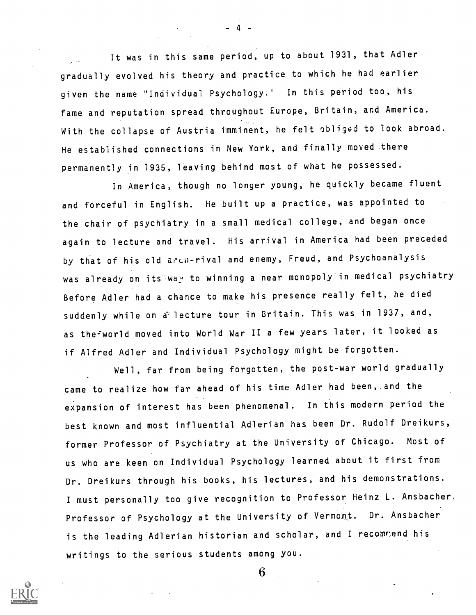It was in this same period, up to about 1931, that Adler gradually evolved his theory and practice to which he had earlier given the name "Individual Psychology." In this period too, his fame and reputation spread throughout Europe, Britain, and America. With the collapse of Austria imminent, he felt obliged to look abroad. He established connections in New York, and finally moved .there permanently in 1935, leaving behind most of what he possessed.

4

In America, though no longer young, he quickly became fluent and forceful in English. He built up a practice, was appointed to the chair of psychiatry in a small medical college, and began once again to lecture and travel. His arrival in America had been preceded by that of his old arLh-rival and enemy, Freud, and Psychoanalysis was already on its way to winning a near monopoly in medical psychiatry Before Adler had a chance to make his presence really felt, he died suddenly while on a lecture tour in Britain. This was in 1937, and, as the-world moved into World War II a few years later, it looked as if Alfred Adler and Individual Psychology might be forgotten.

Well, far from being forgotten, the post-war world gradually came to realize how far ahead of his time Adler had been, and the expansion of interest has been phenomenal. In this modern period the best known and most influential Adlerian has been Dr. Rudolf Dreikurs, former Professor of Psychiatry at the University of Chicago. Most of us who are keen on Individual Psychology learned about it first from Dr. Dreikurs through his books, his lectures, and his demonstrations. I must personally too give recognition to Professor Heinz L. Ansbacher, Professor of Psychology at the University of Vermont. Dr. Ansbacher is the leading Adlerian historian and scholar, and I recommend his writings to the serious students among you.

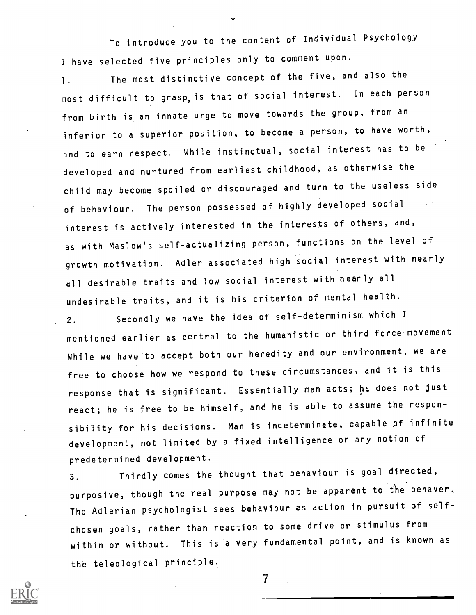To introduce you to the content of Individual Psychology <sup>I</sup> have selected five principles only to comment upon.

1. The most distinctive concept of the five, and also the most difficult to grasp,is that of social interest. In each person from birth is an innate urge to move towards the group, from an inferior to a superior position, to become a person, to have worth, and to earn respect. While instinctual, social interest has to be developed and nurtured from earliest childhood, as otherwise the child may become spoiled or discouraged and turn to the useless side of behaviour. The person possessed of highly developed social interest is actively interested in the interests of others, and, as with Maslow's self-actualizing person, functions on the level of growth motivation. Adler associated high social interest with nearly all desirable traits and low social interest with nearly all undesirable traits, and it is his criterion of mental health.

2. Secondly we have the idea of self-determinism which I mentioned earlier as central to the humanistic or third force movement While we have to accept both our heredity and our environment, we are free to choose how we respond to these circumstances, and it is this response that is significant. Essentially man acts; he does not just react; he is free to be himself, and he is able to assume the responsibility for his decisions. Man is indeterminate, capable of infinite development, not limited by a fixed intelligence or any notion of predetermined development.

3. Thirdly comes the thought that behaviour is goal directed, purposive, though the real purpose may not be apparent to the behaver. The Adlerian psychologist sees behaviour as action in pursuit of selfchosen goals, rather than reaction to some drive or stimulus from within or without. This is a very fundamental point, and is known as the teleological principle..

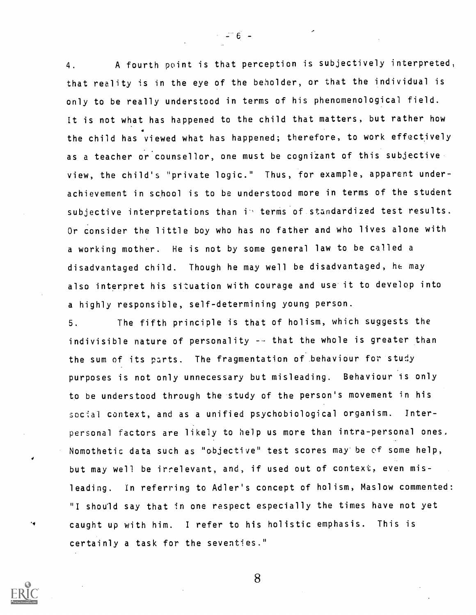4. A fourth point is that perception is subjectively interpreted, that reality is in the eye of the beholder, or that the individual is only to be really understood in terms of his phenomenological field. It is not what has happened to the child that matters, but rather how the child has viewed what has happened; therefore, to work effectively as a teacher or counsellor, one must be cognizant of this subjective view, the child's "private logic." Thus, for example, apparent underachievement in school is to be understood more in terms of the student subjective interpretations than in terms of standardized test results. Or consider the little boy who has no father and who lives alone with a working mother. He is not by some general law to be called a disadvantaged child. Though he may well be disadvantaged, he may also interpret his situation with courage and use it to develop into a highly responsible, self-determining young person.

 $-6 -$ 

5. The fifth principle is that of holism, which suggests the indivisible nature of personality -- that the whole is greater than the sum of its parts. The fragmentation of behaviour for study purposes is not only unnecessary but misleading. Behaviour is only to be understood through the study of the person's movement in his social context, and as a unified psychobiological organism. Interpersonal factors are likely to help us more than intra-personal ones, Nomothetic data such as "objective" test scores may'be of some help, but may well be irrelevant, and, if used out of context, even misleading. In referring to Adler's concept of holism, Maslow commented: "I should say that in one respect especially the times have not yet caught up with him. <sup>I</sup> refer to his holistic emphasis. This is certainly a task for the seventies."

8

۰,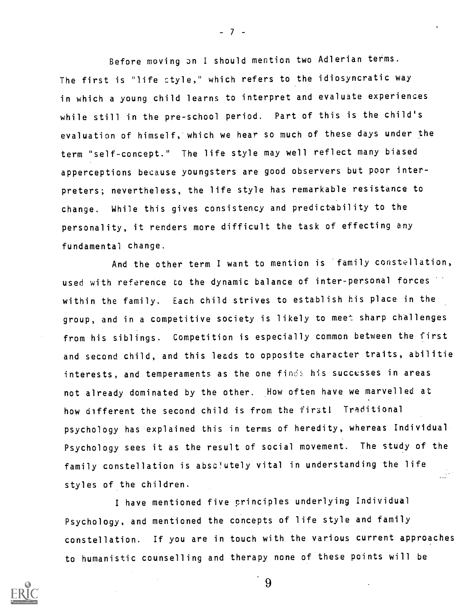Before moving on <sup>I</sup> should mention two Adlerian terms. The first is "life ctyle," which refers to the idiosyncratic way in which a young child learns to interpret and evaluate experiences while still in the pre-school period. Part of this is the child's evaluation of himself, which we hear so much of these days under the term "self-concept." The life style may well reflect many biased apperceptions because youngsters are good observers but poor interpreters; nevertheless, the life style has remarkable resistance to change. While this gives consistency and predictability to the personality, it renders more difficult the task of effecting any fundamental change.

And the other term I want to mention is family constellation, used with reference to the dynamic balance of inter-personal forces within the family. Each child strives to establish his place in the group, and in a competitive society is likely to meet sharp challenges from his siblings. Competition is especially common between the first and second child, and this leads to opposite character traits, abilitie interests, and temperaments as the one finds his successes in areas not already dominated by the other. How often have we marvelled at how different the second child is from the first! Traditional psychology has explained this in terms of heredity, whereas Individual Psychology sees it as the result of social movement. The study of the family constellation is absc'utely vital in understanding the life styles of the children.

<sup>I</sup> have mentioned five principles underlying Individual Psychology, and mentioned the concepts of life style and family constellation. If you are in touch with the various current approaches to humanistic counselling and therapy none of these points will be

9



 $-7 -$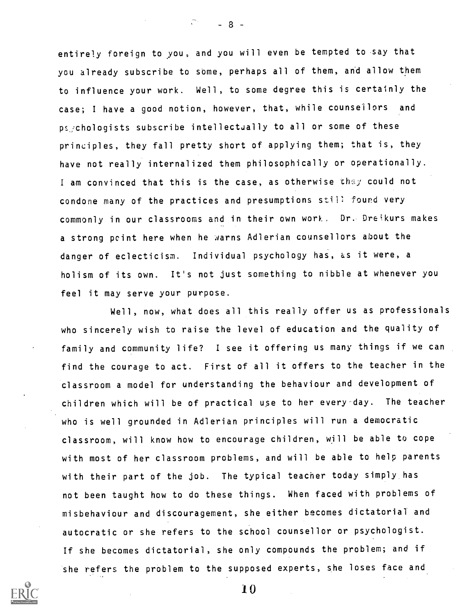entirely foreign to you, and you will even be tempted to say that you already subscribe to some, perhaps all of them, and allow them to influence your work. Well, to some degree this is certainly the case; <sup>I</sup> have a good notion, however, that, while counsellors and psechologists subscribe intellectually to all or some of these principles, they fall pretty short of applying them; that is, they have not really internalized them philosophically or operationally. I am convinced that this is the case, as otherwise thay could not condone many of the practices and presumptions still found very commonly in our classrooms and in their own work. Dr. Dreikurs makes a strong pcint here when he warns Adlerian counsellors about the danger of eclecticism. Individual psychology has, as it were, a holism of its own. It's not just something to nibble at whenever you feel it may serve your purpose.

 $-8$ .

Well, now, what does all this really offer us as professionals who sincerely wish to raise the level of education and the quality of family and community life? <sup>I</sup> see it offering us many things if we can find the courage to act. First of all it offers to the teacher in the classroom a model for understanding the behaviour and development of children which will be of practical use to her every day. The teacher who is well grounded in Adlerian principles will run a democratic classroom, will know how to encourage children, will be able to cope with most of her classroom problems, and will be able to help parents with their part of the job. The typical teacher today simply has not been taught how to do these things. When faced with problems of misbehaviour and discouragement, she either becomes dictatorial and autocratic or she refers to the school counsellor or psychologist. If she becomes dictatorial, she only compounds the problem; and if she refers the problem to the supposed experts, she loses face and

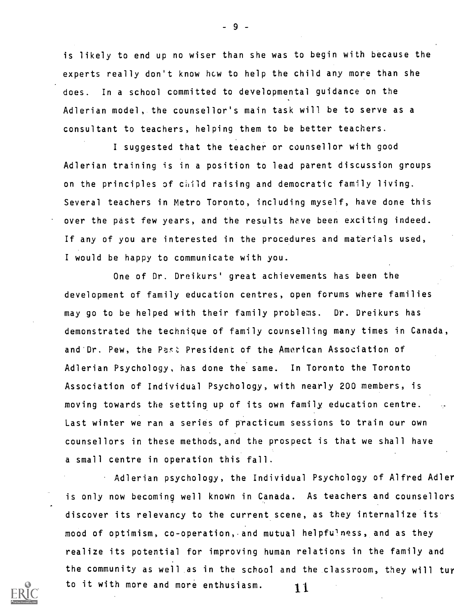is likely to end up no wiser than she was to begin with because the experts really don't know hcw to help the child any more than she does. In a school committed to developmental guidance on the Adlerian model, the counsellor's main task will be to serve as a consultant to teachers, helping them to be better teachers.

<sup>I</sup> suggested that the teacher or counsellor with good Adlerian training is in a position to lead parent discussion groups on the principles of ciiid raising and democratic family living. Several teachers in Metro Toronto, including myself, have done this over the past few years, and the results heve been exciting indeed. If any of you are interested in the procedures and materials used, <sup>I</sup> would be happy to communicate with you.

One of Dr. Dreikurs' great achievements has been the development of family education centres, open forums where families may go to be helped with their family problems. Dr. Dreikurs has demonstrated the technique of family counselling many times in Canada, and Dr. Pew, the Past President of the American Association of Adlerian Psychology, has done the same. In Toronto the Toronto Association of Individual Psychology, with nearly 200 members, is moving towards the setting up of its own family, education centre. Last winter we ran a series of practicum sessions to train our own counsellors in these methods,and the prospect is that we shall have a small centre in operation this fall.

Adlerian psychology, the Individual Psychology of Alfred Adler is only now becoming well known in Canada. As teachers and counsellors discover its relevancy to the current scene, as they internalize its mood of optimism, co-operation,.and mutual helpfu'ness, and as they realize its potential for improving human relations in the family and the community as well as in the school and the classroom, they will tur to it with more and more enthusiasm.  $\begin{array}{c} \textbf{1} \end{array}$ 

 $-9 -$